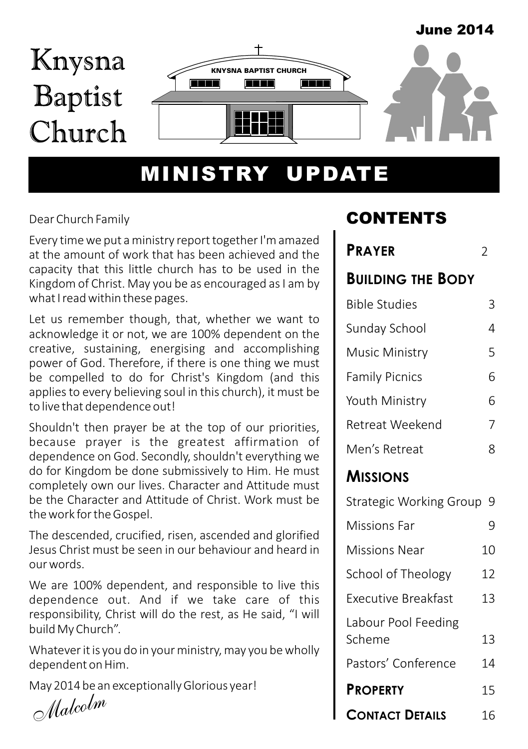#### June 2014



# MINISTRY UPDATE

#### Dear Church Family

Every time we put a ministry report together I'm amazed at the amount of work that has been achieved and the capacity that this little church has to be used in the Kingdom of Christ. May you be as encouraged as I am by what I read within these pages.

Let us remember though, that, whether we want to acknowledge it or not, we are 100% dependent on the creative, sustaining, energising and accomplishing power of God. Therefore, if there is one thing we must be compelled to do for Christ's Kingdom (and this applies to every believing soul in this church), it must be to live that dependence out!

Shouldn't then prayer be at the top of our priorities, because prayer is the greatest affirmation of dependence on God. Secondly, shouldn't everything we do for Kingdom be done submissively to Him. He must completely own our lives. Character and Attitude must be the Character and Attitude of Christ. Work must be the work for the Gospel.

The descended, crucified, risen, ascended and glorified Jesus Christ must be seen in our behaviour and heard in our words.

We are 100% dependent, and responsible to live this dependence out. And if we take care of this responsibility, Christ will do the rest, as He said, "I will build My Church".

Whatever it is you do in your ministry, may you be wholly dependent on Him.

May 2014 be an exceptionally Glorious year!

*Malcolm*

## CONTENTS

# **PRAYER** 2 **BUILDING THE BODY** Sunday School 4 Bible Studies 3 Music Ministry 5 Family Picnics 6 Youth Ministry 6

| Retreat Weekend |  |
|-----------------|--|
| Men's Retreat   |  |

### **MISSIONS**

Strategic Working Group 9

| Missions Far                  |    |
|-------------------------------|----|
| Missions Near                 | 10 |
| School of Theology            | 12 |
| Executive Breakfast           | 13 |
| Labour Pool Feeding<br>Scheme | 13 |
| Pastors' Conference           | 14 |
| <b>PROPERTY</b>               | 15 |
| <b>CONTACT DETAILS</b>        |    |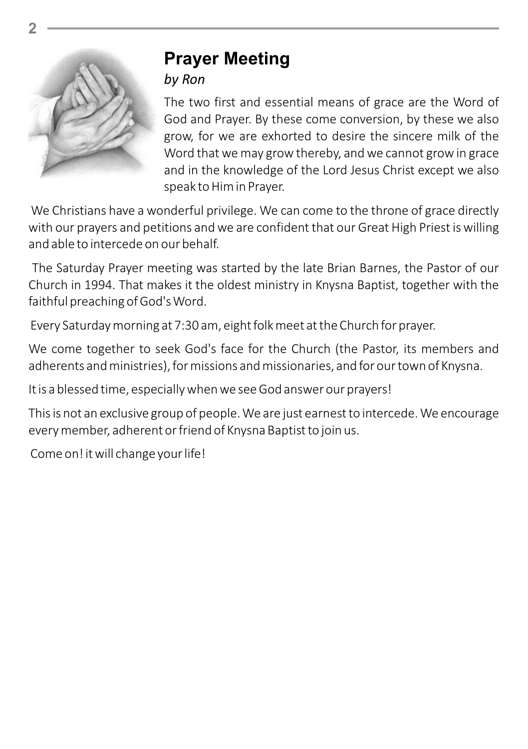

# **Prayer Meeting**

#### *by Ron*

The two first and essential means of grace are the Word of God and Prayer. By these come conversion, by these we also grow, for we are exhorted to desire the sincere milk of the Word that we may grow thereby, and we cannot grow in grace and in the knowledge of the Lord Jesus Christ except we also speak to Him in Prayer.

We Christians have a wonderful privilege. We can come to the throne of grace directly with our prayers and petitions and we are confident that our Great High Priest is willing and able to intercede on our behalf.

The Saturday Prayer meeting was started by the late Brian Barnes, the Pastor of our Church in 1994. That makes it the oldest ministry in Knysna Baptist, together with the faithful preaching of God's Word.

Every Saturday morning at 7:30 am, eight folk meet at the Church for prayer.

We come together to seek God's face for the Church (the Pastor, its members and adherents and ministries), for missions and missionaries, and for our town of Knysna.

It is a blessed time, especially when we see God answer our prayers!

This is not an exclusive group of people. We are just earnest to intercede. We encourage every member, adherent or friend of Knysna Baptist to join us.

Come on! it will change your life!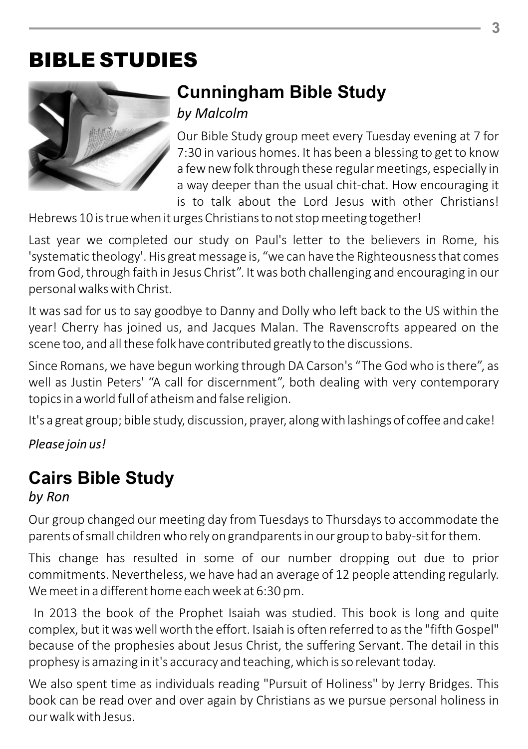# BIBLE STUDIES



# **Cunningham Bible Study**

*by Malcolm*

Our Bible Study group meet every Tuesday evening at 7 for 7:30 in various homes. It has been a blessing to get to know a few new folk through these regular meetings, especially in a way deeper than the usual chit-chat. How encouraging it is to talk about the Lord Jesus with other Christians!

Hebrews 10 is true when it urges Christians to not stop meeting together!

Last year we completed our study on Paul's letter to the believers in Rome, his 'systematic theology'. His great message is, "we can have the Righteousness that comes from God, through faith in Jesus Christ". It was both challenging and encouraging in our personal walks with Christ.

It was sad for us to say goodbye to Danny and Dolly who left back to the US within the year! Cherry has joined us, and Jacques Malan. The Ravenscrofts appeared on the scene too, and all these folk have contributed greatly to the discussions.

Since Romans, we have begun working through DA Carson's "The God who is there", as well as Justin Peters' "A call for discernment", both dealing with very contemporary topics in a world full of atheism and false religion.

It's a great group; bible study, discussion, prayer, along with lashings of coffee and cake!

*Please join us!*

## **Cairs Bible Study**

### *by Ron*

Our group changed our meeting day from Tuesdays to Thursdays to accommodate the parents of small children who rely on grandparents in our group to baby-sit for them.

This change has resulted in some of our number dropping out due to prior commitments. Nevertheless, we have had an average of 12 people attending regularly. We meet in a different home each week at 6:30 pm.

In 2013 the book of the Prophet Isaiah was studied. This book is long and quite complex, but it was well worth the effort. Isaiah is often referred to as the "fifth Gospel" because of the prophesies about Jesus Christ, the suffering Servant. The detail in this prophesy is amazing in it's accuracy and teaching, which is so relevant today.

We also spent time as individuals reading "Pursuit of Holiness" by Jerry Bridges. This book can be read over and over again by Christians as we pursue personal holiness in our walk with Jesus.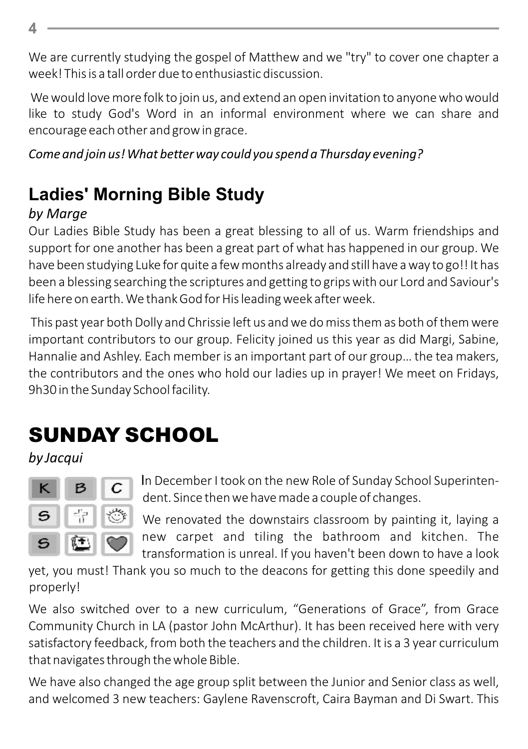We are currently studying the gospel of Matthew and we "try" to cover one chapter a week! This is a tall order due to enthusiastic discussion.

We would love more folk to join us, and extend an open invitation to anyone who would like to study God's Word in an informal environment where we can share and encourage each other and grow in grace.

*Come and join us! What better way could you spend a Thursday evening?*

# **Ladies' Morning Bible Study**

## *by Marge*

Our Ladies Bible Study has been a great blessing to all of us. Warm friendships and support for one another has been a great part of what has happened in our group. We have been studying Luke for quite a few months already and still have a way to go!! It has been a blessing searching the scriptures and getting to grips with our Lord and Saviour's life here on earth. We thank God for His leading week after week.

This past year both Dolly and Chrissie left us and we do miss them as both of them were important contributors to our group. Felicity joined us this year as did Margi, Sabine, Hannalie and Ashley. Each member is an important part of our group… the tea makers, the contributors and the ones who hold our ladies up in prayer! We meet on Fridays, 9h30 in the Sunday School facility.

# SUNDAY SCHOOL

*by Jacqui*



In December I took on the new Role of Sunday School Superintendent. Since then we have made a couple of changes.

We renovated the downstairs classroom by painting it, laying a new carpet and tiling the bathroom and kitchen. The transformation is unreal. If you haven't been down to have a look

yet, you must! Thank you so much to the deacons for getting this done speedily and properly!

We also switched over to a new curriculum, "Generations of Grace", from Grace Community Church in LA (pastor John McArthur). It has been received here with very satisfactory feedback, from both the teachers and the children. It is a 3 year curriculum that navigates through the whole Bible.

We have also changed the age group split between the Junior and Senior class as well, and welcomed 3 new teachers: Gaylene Ravenscroft, Caira Bayman and Di Swart. This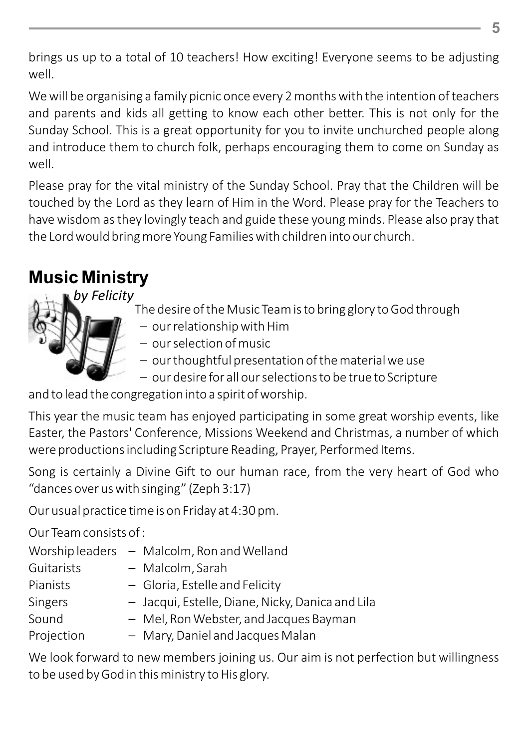brings us up to a total of 10 teachers! How exciting! Everyone seems to be adjusting well.

We will be organising a family picnic once every 2 months with the intention of teachers and parents and kids all getting to know each other better. This is not only for the Sunday School. This is a great opportunity for you to invite unchurched people along and introduce them to church folk, perhaps encouraging them to come on Sunday as well.

Please pray for the vital ministry of the Sunday School. Pray that the Children will be touched by the Lord as they learn of Him in the Word. Please pray for the Teachers to have wisdom as they lovingly teach and guide these young minds. Please also pray that the Lord would bring more Young Families with children into our church.

## **Music Ministry**

*by Felicity*



- The desire of the Music Team is to bring glory to God through
	- our relationship with Him
	- our selection of music
	- our thoughtful presentation of the material we use
	- our desire for all our selections to be true to Scripture

and to lead the congregation into a spirit of worship.

This year the music team has enjoyed participating in some great worship events, like Easter, the Pastors' Conference, Missions Weekend and Christmas, a number of which were productions including Scripture Reading, Prayer, Performed Items.

Song is certainly a Divine Gift to our human race, from the very heart of God who "dances over us with singing" (Zeph 3:17)

Our usual practice time is on Friday at 4:30 pm.

Our Team consists of :

| Worship leaders - Malcolm, Ron and Welland       |
|--------------------------------------------------|
| - Malcolm, Sarah                                 |
| - Gloria, Estelle and Felicity                   |
| - Jacqui, Estelle, Diane, Nicky, Danica and Lila |
| - Mel, Ron Webster, and Jacques Bayman           |
| - Mary, Daniel and Jacques Malan                 |
|                                                  |

We look forward to new members joining us. Our aim is not perfection but willingness to be used by God in this ministry to His glory.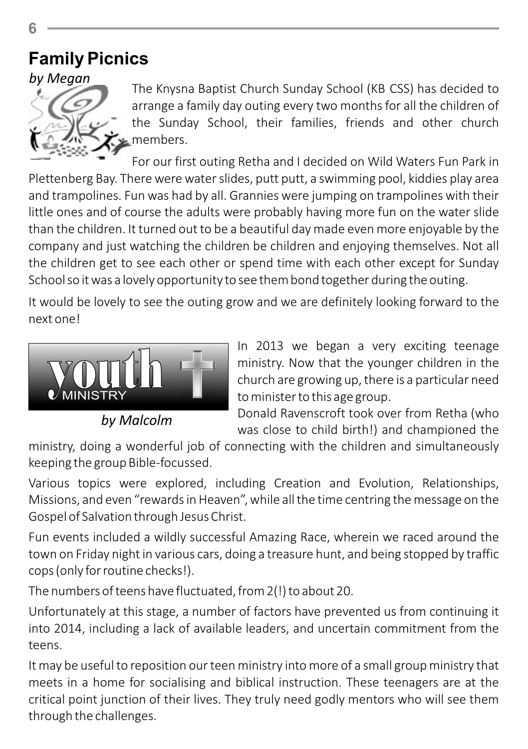## **Family Picnics**



The Knysna Baptist Church Sunday School (KB CSS) has decided to arrange a family day outing every two months for all the children of the Sunday School, their families, friends and other church members.

For our first outing Retha and I decided on Wild Waters Fun Park in Plettenberg Bay. There were water slides, putt putt, a swimming pool, kiddies play area and trampolines. Fun was had by all. Grannies were jumping on trampolines with their little ones and of course the adults were probably having more fun on the water slide than the children. It turned out to be a beautiful day made even more enjoyable by the company and just watching the children be children and enjoying themselves. Not all the children get to see each other or spend time with each other except for Sunday School so it was a lovely opportunity to see them bond together during the outing.

It would be lovely to see the outing grow and we are definitely looking forward to the next one!



*by Malcolm*

In 2013 we began a very exciting teenage ministry. Now that the younger children in the church are growing up, there is a particular need to minister to this age group.

Donald Ravenscroft took over from Retha (who was close to child birth!) and championed the

ministry, doing a wonderful job of connecting with the children and simultaneously keeping the group Bible-focussed.

Various topics were explored, including Creation and Evolution, Relationships, Missions, and even "rewards in Heaven", while all the time centring the message on the Gospel of Salvation through Jesus Christ.

Fun events included a wildly successful Amazing Race, wherein we raced around the town on Friday night in various cars, doing a treasure hunt, and being stopped by traffic cops (only for routine checks!).

The numbers of teens have fluctuated, from 2(!) to about 20.

Unfortunately at this stage, a number of factors have prevented us from continuing it into 2014, including a lack of available leaders, and uncertain commitment from the teens.

It may be useful to reposition our teen ministry into more of a small group ministry that meets in a home for socialising and biblical instruction. These teenagers are at the critical point junction of their lives. They truly need godly mentors who will see them through the challenges.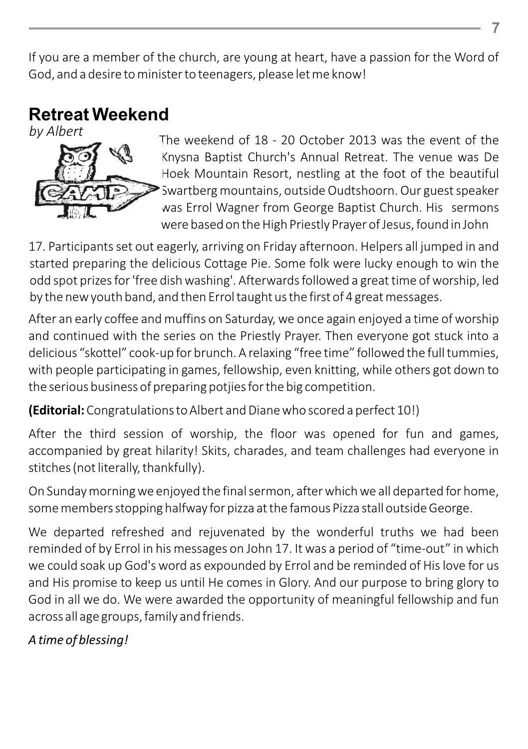If you are a member of the church, are young at heart, have a passion for the Word of God, and a desire to minister to teenagers, please let me know!

## **Retreat Weekend**

*by Albert* 



The weekend of 18 - 20 October 2013 was the event of the Knysna Baptist Church's Annual Retreat. The venue was De Hoek Mountain Resort, nestling at the foot of the beautiful Swartberg mountains, outside Oudtshoorn. Our guest speaker was Errol Wagner from George Baptist Church. His sermons were based on the High Priestly Prayer of Jesus, found in John

17. Participants set out eagerly, arriving on Friday afternoon. Helpers all jumped in and started preparing the delicious Cottage Pie. Some folk were lucky enough to win the odd spot prizes for 'free dish washing'. Afterwards followed a great time of worship, led by the new youth band, and then Errol taught us the first of 4 great messages.

After an early coffee and muffins on Saturday, we once again enjoyed a time of worship and continued with the series on the Priestly Prayer. Then everyone got stuck into a delicious "skottel" cook-up for brunch. A relaxing "free time" followed the full tummies, with people participating in games, fellowship, even knitting, while others got down to the serious business of preparing potjies for the big competition.

**(Editorial:** Congratulations to Albert and Diane who scored a perfect 10!)

After the third session of worship, the floor was opened for fun and games, accompanied by great hilarity! Skits, charades, and team challenges had everyone in stitches (not literally, thankfully).

On Sunday morning we enjoyed the final sermon, after which we all departed for home, some members stopping halfway for pizza at the famous Pizza stall outside George.

We departed refreshed and rejuvenated by the wonderful truths we had been reminded of by Errol in his messages on John 17. It was a period of "time-out" in which we could soak up God's word as expounded by Errol and be reminded of His love for us and His promise to keep us until He comes in Glory. And our purpose to bring glory to God in all we do. We were awarded the opportunity of meaningful fellowship and fun across all age groups, family and friends.

#### *A time of blessing!*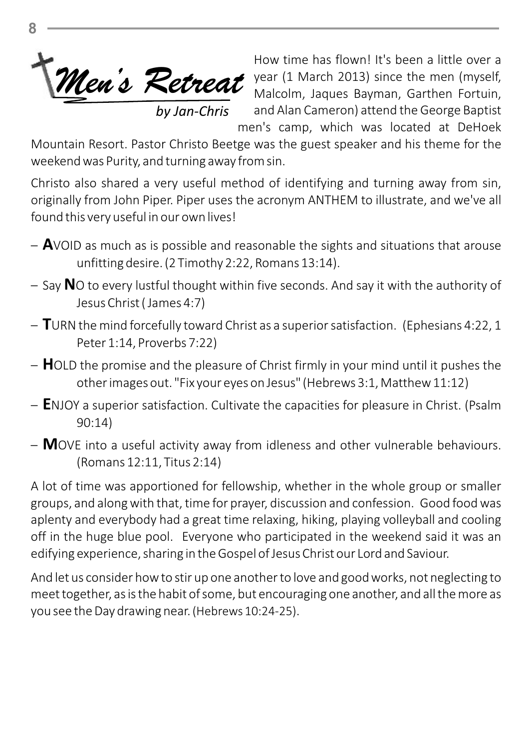

How time has flown! It's been a little over a year (1 March 2013) since the men (myself, *Men's Retreat* year (1 March 2013) since the men (myself, Malcolm, Jaques Bayman, Garthen Fortuin, and Alan Cameron) attend the George Baptist men's camp, which was located at DeHoek

Mountain Resort. Pastor Christo Beetge was the guest speaker and his theme for the weekend was Purity, and turning away from sin.

Christo also shared a very useful method of identifying and turning away from sin, originally from John Piper. Piper uses the acronym ANTHEM to illustrate, and we've all found this very useful in our own lives!

- **A**VOID as much as is possible and reasonable the sights and situations that arouse unfitting desire. (2 Timothy 2:22, Romans 13:14).
- Say **N**O to every lustful thought within five seconds. And say it with the authority of Jesus Christ ( James 4:7)
- **T**URN the mind forcefully toward Christ as a superior satisfaction. (Ephesians 4:22, 1 Peter 1:14, Proverbs 7:22)
- **H**OLD the promise and the pleasure of Christ firmly in your mind until it pushes the other images out. "Fix your eyes on Jesus" (Hebrews 3:1, Matthew 11:12)
- **E**NJOY a superior satisfaction. Cultivate the capacities for pleasure in Christ. (Psalm 90:14)
- **M**OVE into a useful activity away from idleness and other vulnerable behaviours. (Romans 12:11, Titus 2:14)

A lot of time was apportioned for fellowship, whether in the whole group or smaller groups, and along with that, time for prayer, discussion and confession. Good food was aplenty and everybody had a great time relaxing, hiking, playing volleyball and cooling off in the huge blue pool. Everyone who participated in the weekend said it was an edifying experience, sharing in the Gospel of Jesus Christ our Lord and Saviour.

And let us consider how to stir up one another to love and good works, not neglecting to meet together, as is the habit of some, but encouraging one another, and all the more as you see the Day drawing near. (Hebrews 10:24-25).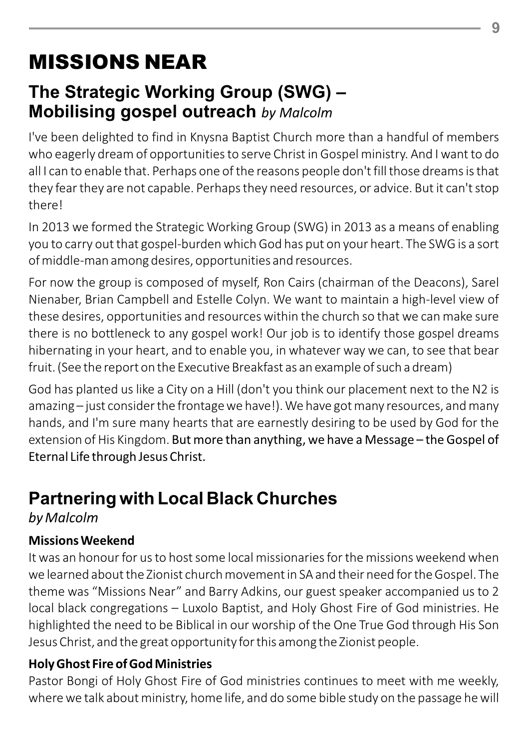# MISSIONS NEAR

## **The Strategic Working Group (SWG) – Mobilising gospel outreach** *by Malcolm*

I've been delighted to find in Knysna Baptist Church more than a handful of members who eagerly dream of opportunities to serve Christ in Gospel ministry. And I want to do all I can to enable that. Perhaps one of the reasons people don't fill those dreams is that they fear they are not capable. Perhaps they need resources, or advice. But it can't stop there!

In 2013 we formed the Strategic Working Group (SWG) in 2013 as a means of enabling you to carry out that gospel-burden which God has put on your heart. The SWG is a sort of middle-man among desires, opportunities and resources.

For now the group is composed of myself, Ron Cairs (chairman of the Deacons), Sarel Nienaber, Brian Campbell and Estelle Colyn. We want to maintain a high-level view of these desires, opportunities and resources within the church so that we can make sure there is no bottleneck to any gospel work! Our job is to identify those gospel dreams hibernating in your heart, and to enable you, in whatever way we can, to see that bear fruit. (See the report on the Executive Breakfast as an example of such a dream)

God has planted us like a City on a Hill (don't you think our placement next to the N2 is amazing – just consider the frontage we have!). We have got many resources, and many hands, and I'm sure many hearts that are earnestly desiring to be used by God for the extension of His Kingdom. But more than anything, we have a Message – the Gospel of Eternal Life through Jesus Christ.

## **Partnering with Local Black Churches**

*by Malcolm*

### **Missions Weekend**

It was an honour for us to host some local missionaries for the missions weekend when we learned about the Zionist church movement in SA and their need for the Gospel. The theme was "Missions Near" and Barry Adkins, our guest speaker accompanied us to 2 local black congregations – Luxolo Baptist, and Holy Ghost Fire of God ministries. He highlighted the need to be Biblical in our worship of the One True God through His Son Jesus Christ, and the great opportunity for this among the Zionist people.

### **Holy Ghost Fire of God Ministries**

Pastor Bongi of Holy Ghost Fire of God ministries continues to meet with me weekly, where we talk about ministry, home life, and do some bible study on the passage he will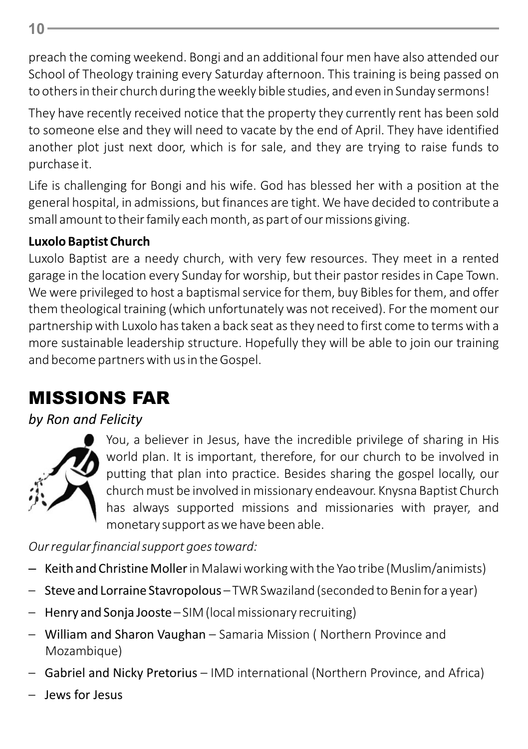preach the coming weekend. Bongi and an additional four men have also attended our School of Theology training every Saturday afternoon. This training is being passed on to others in their church during the weekly bible studies, and even in Sunday sermons!

They have recently received notice that the property they currently rent has been sold to someone else and they will need to vacate by the end of April. They have identified another plot just next door, which is for sale, and they are trying to raise funds to purchase it.

Life is challenging for Bongi and his wife. God has blessed her with a position at the general hospital, in admissions, but finances are tight. We have decided to contribute a small amount to their family each month, as part of our missions giving.

## **Luxolo Baptist Church**

Luxolo Baptist are a needy church, with very few resources. They meet in a rented garage in the location every Sunday for worship, but their pastor resides in Cape Town. We were privileged to host a baptismal service for them, buy Bibles for them, and offer them theological training (which unfortunately was not received). For the moment our partnership with Luxolo has taken a back seat as they need to first come to terms with a more sustainable leadership structure. Hopefully they will be able to join our training and become partners with us in the Gospel.

# MISSIONS FAR

## *by Ron and Felicity*



You, a believer in Jesus, have the incredible privilege of sharing in His world plan. It is important, therefore, for our church to be involved in putting that plan into practice. Besides sharing the gospel locally, our church must be involved in missionary endeavour. Knysna Baptist Church has always supported missions and missionaries with prayer, and monetary support as we have been able.

*Our regular financial support goes toward:*

- Keith and Christine Mollerin Malawi working with the Yao tribe (Muslim/animists)
- Steve and Lorraine Stavropolous TWR Swaziland (seconded to Benin for a year)
- Henry and Sonja Jooste SIM (local missionary recruiting)
- William and Sharon Vaughan Samaria Mission ( Northern Province and Mozambique)
- Gabriel and Nicky Pretorius IMD international (Northern Province, and Africa)
- Jews for Jesus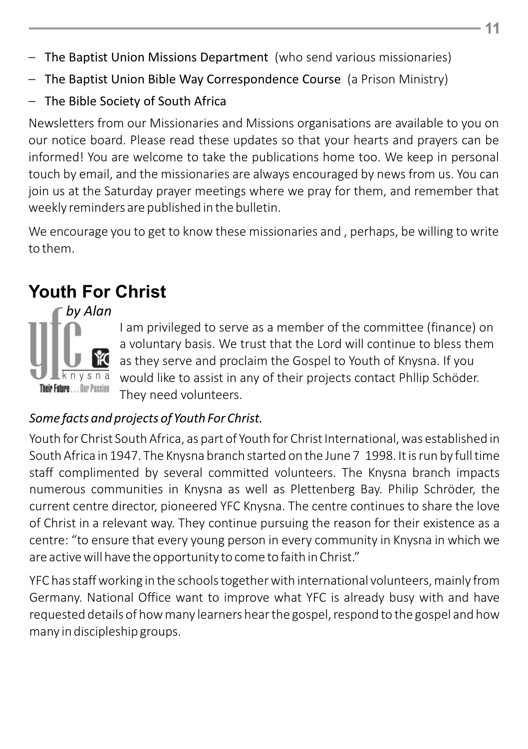- The Baptist Union Missions Department (who send various missionaries)
- The Baptist Union Bible Way Correspondence Course (a Prison Ministry)
- The Bible Society of South Africa

Newsletters from our Missionaries and Missions organisations are available to you on our notice board. Please read these updates so that your hearts and prayers can be informed! You are welcome to take the publications home too. We keep in personal touch by email, and the missionaries are always encouraged by news from us. You can join us at the Saturday prayer meetings where we pray for them, and remember that weekly reminders are published in the bulletin.

We encourage you to get to know these missionaries and , perhaps, be willing to write to them.

## **Youth For Christ**

 *by Alan* 



I am privileged to serve as a member of the committee (finance) on a voluntary basis. We trust that the Lord will continue to bless them as they serve and proclaim the Gospel to Youth of Knysna. If you would like to assist in any of their projects contact Phllip Schöder. They need volunteers.

#### *Some facts and projects of Youth For Christ.*

Youth for Christ South Africa, as part of Youth for Christ International, was established in South Africa in 1947. The Knysna branch started on the June 7 1998. It is run by full time staff complimented by several committed volunteers. The Knysna branch impacts numerous communities in Knysna as well as Plettenberg Bay. Philip Schröder, the current centre director, pioneered YFC Knysna. The centre continues to share the love of Christ in a relevant way. They continue pursuing the reason for their existence as a centre: "to ensure that every young person in every community in Knysna in which we are active will have the opportunity to come to faith in Christ."

YFC has staff working in the schools together with international volunteers, mainly from Germany. National Office want to improve what YFC is already busy with and have requested details of how many learners hear the gospel, respond to the gospel and how many in discipleship groups.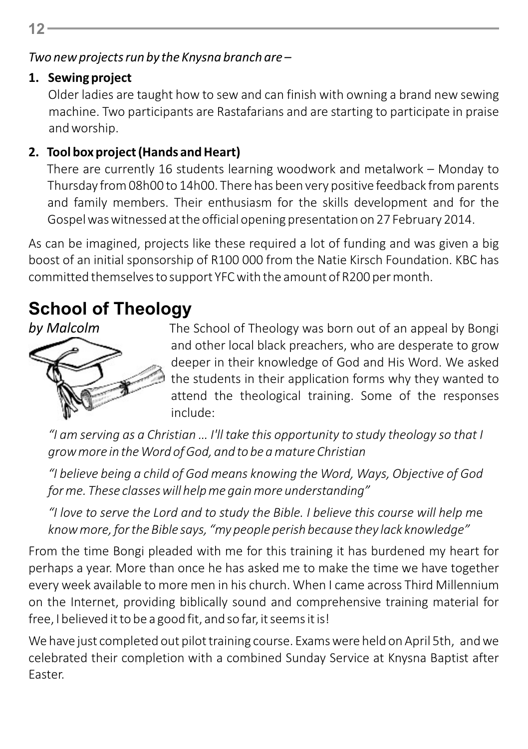*Two new projects run by the Knysna branch are –*

## **1. Sewing project**

Older ladies are taught how to sew and can finish with owning a brand new sewing machine. Two participants are Rastafarians and are starting to participate in praise and worship.

## **2. Tool box project (Hands and Heart)**

There are currently 16 students learning woodwork and metalwork – Monday to Thursday from 08h00 to 14h00. There has been very positive feedback from parents and family members. Their enthusiasm for the skills development and for the Gospel was witnessed at the official opening presentation on 27 February 2014.

As can be imagined, projects like these required a lot of funding and was given a big boost of an initial sponsorship of R100 000 from the Natie Kirsch Foundation. KBC has committed themselves to support YFC with the amount of R200 per month.

# **School of Theology**

*by Malcolm*



The School of Theology was born out of an appeal by Bongi and other local black preachers, who are desperate to grow deeper in their knowledge of God and His Word. We asked the students in their application forms why they wanted to attend the theological training. Some of the responses include:

*"I am serving as a Christian … I'll take this opportunity to study theology so that I grow more in the Word of God, and to be a mature Christian*

*"I believe being a child of God means knowing the Word, Ways, Objective of God for me. These classes will help me gain more understanding"*

*"I love to serve the Lord and to study the Bible. I believe this course will help m*e *know more, for the Bible says, "my people perish because they lack knowledge"*

From the time Bongi pleaded with me for this training it has burdened my heart for perhaps a year. More than once he has asked me to make the time we have together every week available to more men in his church. When I came across Third Millennium on the Internet, providing biblically sound and comprehensive training material for free, I believed it to be a good fit, and so far, it seems it is!

We have just completed out pilot training course. Exams were held on April 5th, and we celebrated their completion with a combined Sunday Service at Knysna Baptist after Easter.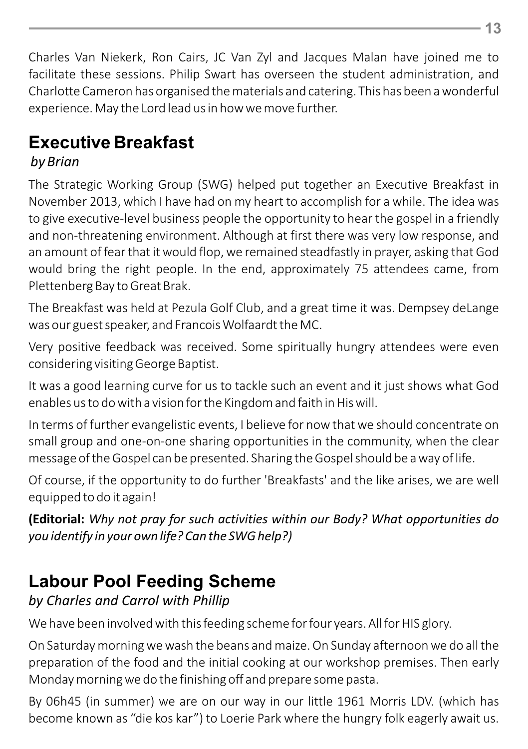Charles Van Niekerk, Ron Cairs, JC Van Zyl and Jacques Malan have joined me to facilitate these sessions. Philip Swart has overseen the student administration, and Charlotte Cameron has organised the materials and catering. This has been a wonderful experience. May the Lord lead us in how we move further.

# **Executive Breakfast**

## *by Brian*

The Strategic Working Group (SWG) helped put together an Executive Breakfast in November 2013, which I have had on my heart to accomplish for a while. The idea was to give executive-level business people the opportunity to hear the gospel in a friendly and non-threatening environment. Although at first there was very low response, and an amount of fear that it would flop, we remained steadfastly in prayer, asking that God would bring the right people. In the end, approximately 75 attendees came, from Plettenberg Bay to Great Brak.

The Breakfast was held at Pezula Golf Club, and a great time it was. Dempsey deLange was our guest speaker, and Francois Wolfaardt the MC.

Very positive feedback was received. Some spiritually hungry attendees were even considering visiting George Baptist.

It was a good learning curve for us to tackle such an event and it just shows what God enables us to do with a vision for the Kingdom and faith in His will.

In terms of further evangelistic events, I believe for now that we should concentrate on small group and one-on-one sharing opportunities in the community, when the clear message of the Gospel can be presented. Sharing the Gospel should be a way of life.

Of course, if the opportunity to do further 'Breakfasts' and the like arises, we are well equipped to do it again!

**(Editorial:** *Why not pray for such activities within our Body? What opportunities do you identify in your own life? Can the SWG help?)*

# **Labour Pool Feeding Scheme**

## *by Charles and Carrol with Phillip*

We have been involved with this feeding scheme for four years. All for HIS glory.

On Saturday morning we wash the beans and maize. On Sunday afternoon we do all the preparation of the food and the initial cooking at our workshop premises. Then early Monday morning we do the finishing off and prepare some pasta.

By 06h45 (in summer) we are on our way in our little 1961 Morris LDV. (which has become known as "die kos kar") to Loerie Park where the hungry folk eagerly await us.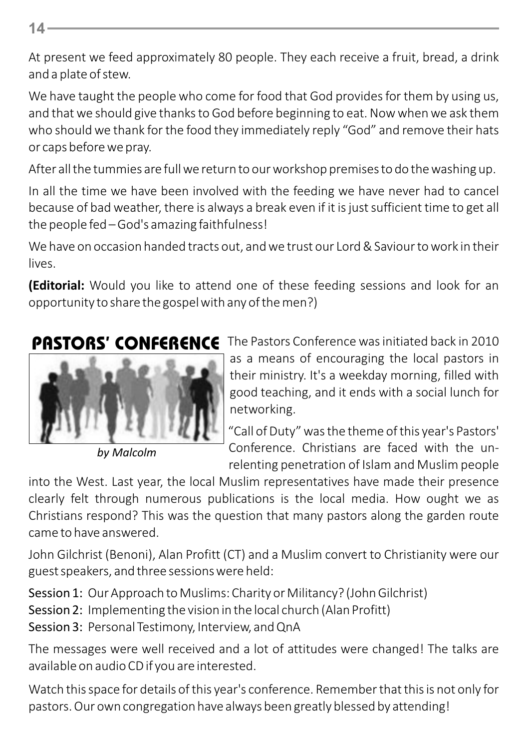**14**

At present we feed approximately 80 people. They each receive a fruit, bread, a drink and a plate of stew.

We have taught the people who come for food that God provides for them by using us, and that we should give thanks to God before beginning to eat. Now when we ask them who should we thank for the food they immediately reply "God" and remove their hats or caps before we pray.

After all the tummies are full we return to our workshop premises to do the washing up.

In all the time we have been involved with the feeding we have never had to cancel because of bad weather, there is always a break even if it is just sufficient time to get all the people fed – God's amazing faithfulness!

We have on occasion handed tracts out, and we trust our Lord & Saviour to work in their lives.

**(Editorial:** Would you like to attend one of these feeding sessions and look for an opportunity to share the gospel with any of the men?)



*by Malcolm* 

The Pastors Conference was initiated back in 2010 as a means of encouraging the local pastors in their ministry. It's a weekday morning, filled with good teaching, and it ends with a social lunch for networking.

"Call of Duty" was the theme of this year's Pastors' Conference. Christians are faced with the unrelenting penetration of Islam and Muslim people

into the West. Last year, the local Muslim representatives have made their presence clearly felt through numerous publications is the local media. How ought we as Christians respond? This was the question that many pastors along the garden route came to have answered.

John Gilchrist (Benoni), Alan Profitt (CT) and a Muslim convert to Christianity were our guest speakers, and three sessions were held:

Session 1: Our Approach to Muslims: Charity or Militancy? (John Gilchrist) Session 2: Implementing the vision in the local church (Alan Profitt) Session 3: Personal Testimony, Interview, and QnA

The messages were well received and a lot of attitudes were changed! The talks are available on audio CD if you are interested.

Watch this space for details of this year's conference. Remember that this is not only for pastors. Our own congregation have always been greatly blessed by attending!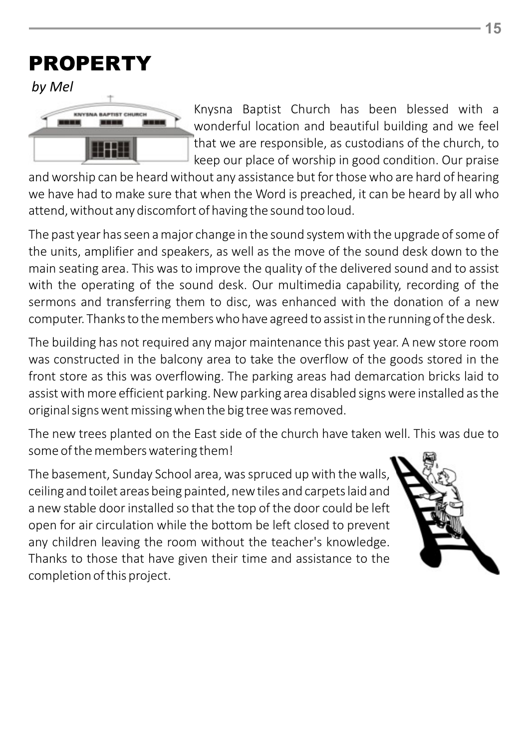# PROPERTY

*by Mel*



Knysna Baptist Church has been blessed with a wonderful location and beautiful building and we feel that we are responsible, as custodians of the church, to keep our place of worship in good condition. Our praise

and worship can be heard without any assistance but for those who are hard of hearing we have had to make sure that when the Word is preached, it can be heard by all who attend, without any discomfort of having the sound too loud.

The past year has seen a major change in the sound system with the upgrade of some of the units, amplifier and speakers, as well as the move of the sound desk down to the main seating area. This was to improve the quality of the delivered sound and to assist with the operating of the sound desk. Our multimedia capability, recording of the sermons and transferring them to disc, was enhanced with the donation of a new computer. Thanks to the members who have agreed to assist in the running of the desk.

The building has not required any major maintenance this past year. A new store room was constructed in the balcony area to take the overflow of the goods stored in the front store as this was overflowing. The parking areas had demarcation bricks laid to assist with more efficient parking. New parking area disabled signs were installed as the original signs went missing when the big tree was removed.

The new trees planted on the East side of the church have taken well. This was due to some of the members watering them!

The basement, Sunday School area, was spruced up with the walls, ceiling and toilet areas being painted, new tiles and carpets laid and a new stable door installed so that the top of the door could be left open for air circulation while the bottom be left closed to prevent any children leaving the room without the teacher's knowledge. Thanks to those that have given their time and assistance to the completion of this project.

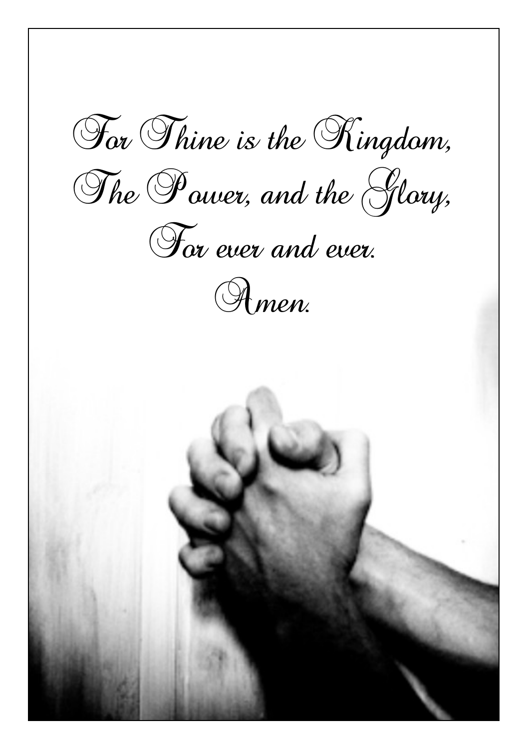For Thine is the Kingdom, The Power, and the Glory, For ever and ever. Amen.